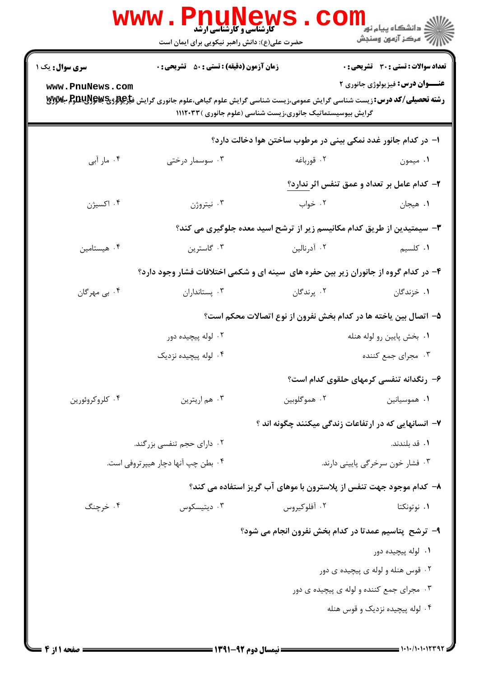|                        | <b>www</b> .<br><b>کارشناسی و کارشناسی ارشد</b><br>حضرت علی(ع): دانش راهبر نیکویی برای ایمان است                                     |                                                                        | ≦ دانشڪاه پيام نو <mark>ر</mark><br>7- مرڪز آزمون وسنجش |
|------------------------|--------------------------------------------------------------------------------------------------------------------------------------|------------------------------------------------------------------------|---------------------------------------------------------|
| <b>سری سوال :</b> یک ۱ | <b>زمان آزمون (دقیقه) : تستی : 50 ٪ تشریحی : 0</b>                                                                                   |                                                                        | تعداد سوالات : تستي : 30 ٪ تشريحي : 0                   |
| www.PnuNews.com        | <b>رشته تحصیلی/کد درس:</b> زیست شناسی گرایش عمومی،زیست شناسی گرایش علوم گیاهی،علوم جانوری گرایش ف <del>یار©ولوژیPUU</del> S بکلاولای | گرایش بیوسیستماتیک جانوری،زیست شناسی (علوم جانوری )۱۱۱۲۰۳۳             | <b>عنـــوان درس:</b> فیزیولوژی جانوری ۲                 |
|                        |                                                                                                                                      | ا– در کدام جانور غدد نمکی بینی در مرطوب ساختن هوا دخالت دارد؟          |                                                         |
| ۰۴ مار آبی             | ۰۳ سوسمار درختی                                                                                                                      | ۰۲ قورباغه                                                             | ۰۱ میمون                                                |
|                        |                                                                                                                                      |                                                                        | ۲- کدام عامل بر تعداد و عمق تنفس اثر ندارد؟             |
| ۰۴ اکسیژن              | ۰۳ نیتروژن                                                                                                                           | ۰۲ خواب                                                                | ۰۱ هیجان                                                |
|                        |                                                                                                                                      | ۳- سیمتیدین از طریق کدام مکانیسم زیر از ترشح اسید معده جلوگیری می کند؟ |                                                         |
| ۰۴ هیستامین            | ۰۳ گاسترين                                                                                                                           | ۰۲ آدرنالین                                                            | ٠١ كلسيم                                                |
|                        | ۴- در کدام گروه از جانوران زیر بین حفره های سینه ای و شکمی اختلافات فشار وجود دارد؟                                                  |                                                                        |                                                         |
| ۰۴ بي مهرگان           | ۰۳ پستانداران                                                                                                                        | ۰۲ پرندگان                                                             | ۰۱ خزندگان                                              |
|                        |                                                                                                                                      | ۵- اتصال بین یاخته ها در کدام بخش نفرون از نوع اتصالات محکم است؟       |                                                         |
|                        | ۰۲ لوله پیچیده دور                                                                                                                   | ۰۱ بخش پایین رو لوله هنله<br>۰۳ مجرای جمع کننده                        |                                                         |
|                        | ۰۴ لوله پیچیده نزدیک                                                                                                                 |                                                                        |                                                         |
|                        |                                                                                                                                      |                                                                        | ۶– رنگدانه تنفسی کرمهای حلقوی کدام است؟                 |
| ۰۴ کلروکروئورين        | ۰۳ هم اريترين                                                                                                                        | ۰۲ هموگلوبين                                                           | ۰۱ هموسیانین                                            |
|                        |                                                                                                                                      | ۷– انسانهایی که در ارتفاعات زندگی میکنند چگونه اند ؟                   |                                                         |
|                        | ۰۲ دارای حجم تنفسی بزرگند.                                                                                                           |                                                                        | ٠١ قد بلندند.                                           |
|                        | ۰۴ بطن چپ آنها دچار هیپرتروفی است.                                                                                                   | ۰۳ فشار خون سرخرگی پایینی دارند.                                       |                                                         |
|                        |                                                                                                                                      | ۸– کدام موجود جهت تنفس از پلاسترون با موهای آب گریز استفاده می کند؟    |                                                         |
| ۰۴ خرچنگ               | ۰۳ دیتیسکوس                                                                                                                          | ۰۲ آفلوکیروس                                                           | ۰۱ نوتونکتا                                             |
|                        |                                                                                                                                      | ۹- ترشح پتاسیم عمدتا در کدام بخش نفرون انجام می شود؟                   |                                                         |
|                        |                                                                                                                                      |                                                                        | ۰۱ لوله پیچیده دور                                      |
|                        |                                                                                                                                      |                                                                        | ۰۲ قوس هنله و لوله ی پیچیده ی دور                       |
|                        |                                                                                                                                      |                                                                        | ۰۳ مجرای جمع کننده و لوله ی پیچیده ی دور                |
|                        |                                                                                                                                      |                                                                        | ۰۴ لوله پیچیده نزدیک و قوس هنله                         |
|                        |                                                                                                                                      |                                                                        |                                                         |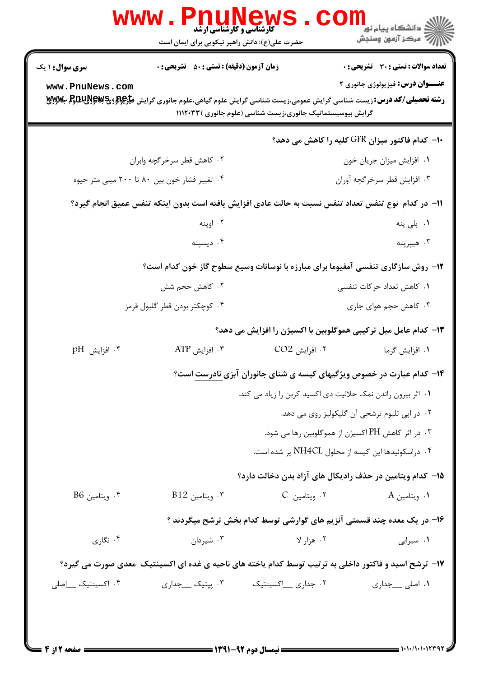| الان دانشگاه پيام نور <mark>-</mark><br>الان مرکز آزمون وسنجش |                                                                                                                                                                                                      | حضرت علی(ع): دانش راهبر نیکویی برای ایمان است      |                          |
|---------------------------------------------------------------|------------------------------------------------------------------------------------------------------------------------------------------------------------------------------------------------------|----------------------------------------------------|--------------------------|
| <b>تعداد سوالات : تستی : 30 ٪ تشریحی : 0</b>                  |                                                                                                                                                                                                      | <b>زمان آزمون (دقیقه) : تستی : 50 ٪ تشریحی : 0</b> | <b>سری سوال :</b> ۱ یک   |
| <b>عنـــوان درس:</b> فیزیولوژی جانوری ۲                       | <b>رشته تحصیلی/کد درس:</b> زیست شناسی گرایش عمومی،زیست شناسی گرایش علوم گیاهی،علوم جانوری گرایش ف <del>یارگِوللرویچ لپای لول</del> ل ب<br>گرایش بیوسیستماتیک جانوری،زیست شناسی (علوم جانوری )۱۱۱۲۰۳۳ |                                                    | www.PnuNews.com          |
| ∙ا− کدام فاکتور میزان GFR کلیه را کاهش می دهد؟                |                                                                                                                                                                                                      |                                                    |                          |
| ۰۱ افزایش میزان جریان خون                                     |                                                                                                                                                                                                      | ۰۲ کاهش قطر سرخرگچه وابران                         |                          |
| ۰۳ افزايش قطر سرخرگچه آوران                                   |                                                                                                                                                                                                      | ۰۴ تغییر فشار خون بین ۸۰ تا ۲۰۰ میلی متر جیوه      |                          |
|                                                               | 11– در كدام  نوع تنفس تعداد تنفس نسبت به حالت عادي افزايش يافته است بدون اينكه تنفس عميق انجام گيرد؟                                                                                                 |                                                    |                          |
| ۰۱ پلی پنه                                                    |                                                                                                                                                                                                      | ۰۲ اوپنه                                           |                          |
| هيپرپنه $\cdot$ ۳                                             |                                                                                                                                                                                                      | ۰۴ ديسپنه                                          |                          |
|                                                               | ۱۲- روش سازگاری تنفسی آمفیوما برای مبارزه با نوسانات وسیع سطوح گاز خون کدام است؟                                                                                                                     |                                                    |                          |
| ۰۱ کاهش تعداد حرکات تنفسی                                     |                                                                                                                                                                                                      | ۰۲ کاهش حجم شش                                     |                          |
| ۰۳ کاهش حجم هوای جاری                                         |                                                                                                                                                                                                      | ۰۴ كوچكتر بودن قطر گلبول قرمز                      |                          |
|                                                               | ۱۳- کدام عامل میل ترکیبی هموگلوبین با اکسیژن را افزایش می دهد؟                                                                                                                                       |                                                    |                          |
| ۰۱ افزایش گرما                                                | ۰۲ افزايش CO2                                                                                                                                                                                        | $\text{ATP}$ افزايش $\cdot$                        | $P$ افزايش $f$           |
|                                                               | ۱۴- کدام عبارت در خصوص ویژگیهای کیسه ی شنای جانوران آبزی نادرست است؟                                                                                                                                 |                                                    |                          |
|                                                               | ۰۱ اثر بیرون راندن نمک حلالیت دی اکسید کربن را زیاد می کند.                                                                                                                                          |                                                    |                          |
| ۰۲ در اپی تلیوم ترشحی آن گلیکولیز روی می دهد.                 |                                                                                                                                                                                                      |                                                    |                          |
| ۰۳ در اثر کاهش PH اکسیژن از هموگلوبین رها می شود. $\cdot$ ۳   |                                                                                                                                                                                                      |                                                    |                          |
| ۰۴ دراسکوئیدها این کیسه از محلول NH4CL پر شده است.            |                                                                                                                                                                                                      |                                                    |                          |
|                                                               | ۱۵– کدام ویتامین در حذف رادیکال های آزاد بدن دخالت دارد؟                                                                                                                                             |                                                    |                          |
| ۰۱ ویتامین A                                                  | ۰۲ ویتامین C                                                                                                                                                                                         | $B12$ . ويتامين $\cdot$                            | $^{86}$ . ويتامين $^{8}$ |
|                                                               | ۱۶– در یک معده چند قسمتی آنزیم های گوارشی توسط کدام بخش ترشح میگردند ؟                                                                                                                               |                                                    |                          |
| ٠١ سيرابى                                                     | ۰۲ هزار لا                                                                                                                                                                                           | ۰۳ شیردان                                          | ۰۴ نگاری                 |
|                                                               | ۱۷– ترشح اسید و فاکتور داخلی به ترتیب توسط کدام یاخته های ناحیه ی غده ای اکسینتیک ًمعدی صورت می گیرد؟                                                                                                |                                                    |                          |
| ۰۱ اصلی __جداری                                               | ۰۲ جداری __اکسینتیک                                                                                                                                                                                  | ۰۳ پپتیک __جداری                                   | ۰۴ اکسینتیک __اصلی       |

 $= 1.1 - 11.1111791$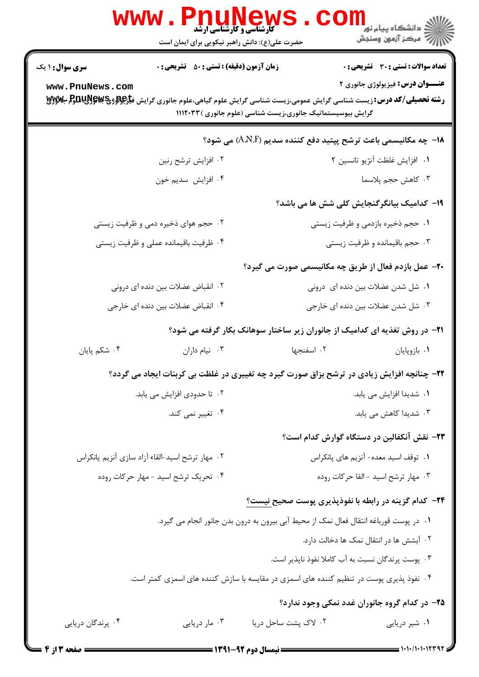|                                                 | www.Pnu<br><b>کارشناسی و کارشناسی ارشد</b><br>حضرت علی(ع): دانش راهبر نیکویی برای ایمان است                                                                                                    |                                                                        | ڪ دانشڪاه پيام نور<br><mark>√</mark> مرڪز آزمون وسنڊش |
|-------------------------------------------------|------------------------------------------------------------------------------------------------------------------------------------------------------------------------------------------------|------------------------------------------------------------------------|-------------------------------------------------------|
| <b>سری سوال : ۱ یک</b>                          | <b>زمان آزمون (دقیقه) : تستی : 50 ٪ تشریحی : 0</b>                                                                                                                                             |                                                                        | <b>تعداد سوالات : تستی : 30 ٪ تشریحی : 0</b>          |
| www.PnuNews.com                                 |                                                                                                                                                                                                |                                                                        | <b>عنـــوان درس:</b> فیزیولوژی جانوری ۲               |
|                                                 | <b>رشته تحصیلی/کد درس:</b> زیست شناسی گرایش عمومی،زیست شناسی گرایش علوم گیاهی،علوم جانوری گرایش ف <del>یار@لار PDU</del> S وPHTM<br>گرایش بیوسیستماتیک جانوری،زیست شناسی (علوم جانوری )۱۱۱۲۰۳۳ |                                                                        |                                                       |
|                                                 |                                                                                                                                                                                                | <b>۱۸</b> - چه مکانیسمی باعث ترشح پپتید دفع کننده سدیم (A.N.F) می شود؟ |                                                       |
|                                                 | ۰۲ افزایش ترشح رنین                                                                                                                                                                            |                                                                        | ٠١ افزايش غلظت آنژيو تانسين ٢                         |
|                                                 | ۰۴ افزایش سدیم خون                                                                                                                                                                             |                                                                        | ۰۳ کاهش حجم پلاسما                                    |
|                                                 |                                                                                                                                                                                                | <b>۱۹</b> - کدامیک بیانگرگنجایش کلی شش ها می باشد؟                     |                                                       |
|                                                 | ۰۲ حجم هوای ذخیره دمی و ظرفیت زیستی                                                                                                                                                            | ۰۱ حجم ذخیره بازدمی و ظرفیت زیستی                                      |                                                       |
| ۰۴ ظرفیت باقیمانده عملی و ظرفیت زیستی           |                                                                                                                                                                                                | ۰۳ حجم باقیمانده و ظرفیت زیستی                                         |                                                       |
|                                                 |                                                                                                                                                                                                | ۲۰- عمل بازدم فعال از طریق چه مکانیسمی صورت می گیرد؟                   |                                                       |
|                                                 | ۰۲ انقباض عضلات بین دنده ای درونی                                                                                                                                                              | ۰۱ شل شدن عضلات بین دنده ای درونی                                      |                                                       |
|                                                 | ۰۴ انقباض عضلات بين دنده اي خارجي                                                                                                                                                              | ۰۳ شل شدن عضلات بین دنده ای خارجی                                      |                                                       |
|                                                 | <b>۲۱</b> - در روش تغذیه ای کدامیک از جانوران زیر ساختار سوهانک بکار گرفته می شود؟                                                                                                             |                                                                        |                                                       |
| ۰۴ شکم پایان                                    | ۰۳ نیام داران                                                                                                                                                                                  | ۰۲ اسفنجها                                                             | ٠١. بازوپايان                                         |
|                                                 | ۲۲- چنانچه افزایش زیادی در ترشح بزاق صورت گیرد چه تغییری در غلظت بی کربنات ایجاد می گردد؟                                                                                                      |                                                                        |                                                       |
|                                                 | ۰۲ تا حدودي افزايش مي يابد.                                                                                                                                                                    | ۰۱ شدیدا افزایش می یابد.                                               |                                                       |
|                                                 | ۰۴ تغییر نمی کند.                                                                                                                                                                              |                                                                        | ۰۳ شدیدا کاهش می یابد.                                |
|                                                 |                                                                                                                                                                                                | ۲۳– نقش آنکفالین در دستگاه گوارش کدام است؟                             |                                                       |
| ۰۲ مهار ترشح اسید-القاء آزاد سازی آنزیم پانکراس |                                                                                                                                                                                                | ٠١ توقف اسيد معده- آنزيم هاى پانكراس                                   |                                                       |
|                                                 | ۰۴ تحریک ترشح اسید - مهار حرکات روده                                                                                                                                                           | ۰۳ مهار ترشح اسيد -القا حركات روده                                     |                                                       |
|                                                 |                                                                                                                                                                                                | <b>۳۴</b> - کدام گزینه در رابطه با نفوذپذیری پوست صحیح <u>نیست؟</u>    |                                                       |
|                                                 | ٠١ در پوست قورباغه انتقال فعال نمک از محيط آبي بيرون به درون بدن جانور انجام مي گيرد.                                                                                                          |                                                                        |                                                       |
|                                                 |                                                                                                                                                                                                | ۰۲ آبشش ها در انتقال نمک ها دخالت دارد.                                |                                                       |
|                                                 |                                                                                                                                                                                                | ۰۳ پوست پرندگان نسبت به آب کاملا نفوذ ناپذیر است.                      |                                                       |
|                                                 | ۰۴ نفوذ پذیری پوست در تنظیم کننده های اسمزی در مقایسه با سازش کننده های اسمزی کمتر است.                                                                                                        |                                                                        |                                                       |
|                                                 |                                                                                                                                                                                                | ۲۵– در کدام گروه جانوران غدد نمکی وجود ندارد؟                          |                                                       |
| ۰۴ پرندگان دریایی                               | ۰۳ مار دریایی                                                                                                                                                                                  | ۰۲ لاک پشت ساحل دریا                                                   | ۰۱ شیر دریایی                                         |
|                                                 |                                                                                                                                                                                                |                                                                        |                                                       |

صفحه ۲ از ۴ ۱